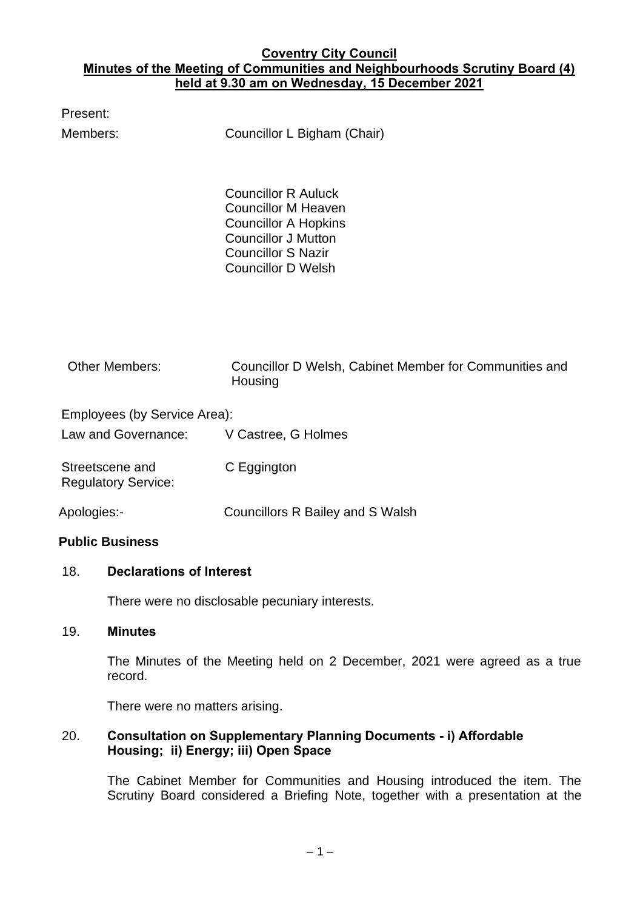## **Coventry City Council Minutes of the Meeting of Communities and Neighbourhoods Scrutiny Board (4) held at 9.30 am on Wednesday, 15 December 2021**

| Present:                                            |                                                                                                                                                                                 |
|-----------------------------------------------------|---------------------------------------------------------------------------------------------------------------------------------------------------------------------------------|
| Members:                                            | Councillor L Bigham (Chair)                                                                                                                                                     |
|                                                     | <b>Councillor R Auluck</b><br><b>Councillor M Heaven</b><br><b>Councillor A Hopkins</b><br><b>Councillor J Mutton</b><br><b>Councillor S Nazir</b><br><b>Councillor D Welsh</b> |
| <b>Other Members:</b>                               | Councillor D Welsh, Cabinet Member for Communities and<br>Housing                                                                                                               |
| Employees (by Service Area):<br>Law and Governance: | V Castree, G Holmes                                                                                                                                                             |

Streetscene and Regulatory Service: C Eggington

Apologies:- Councillors R Bailey and S Walsh

## **Public Business**

## 18. **Declarations of Interest**

There were no disclosable pecuniary interests.

#### 19. **Minutes**

The Minutes of the Meeting held on 2 December, 2021 were agreed as a true record.

There were no matters arising.

## 20. **Consultation on Supplementary Planning Documents - i) Affordable Housing; ii) Energy; iii) Open Space**

The Cabinet Member for Communities and Housing introduced the item. The Scrutiny Board considered a Briefing Note, together with a presentation at the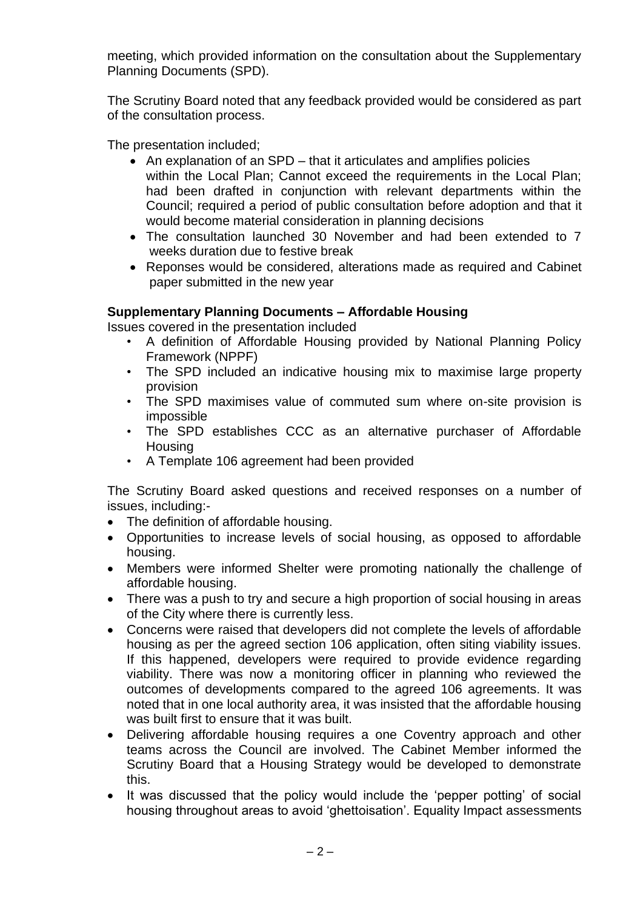meeting, which provided information on the consultation about the Supplementary Planning Documents (SPD).

The Scrutiny Board noted that any feedback provided would be considered as part of the consultation process.

The presentation included;

- An explanation of an SPD that it articulates and amplifies policies within the Local Plan; Cannot exceed the requirements in the Local Plan; had been drafted in conjunction with relevant departments within the Council; required a period of public consultation before adoption and that it would become material consideration in planning decisions
- The consultation launched 30 November and had been extended to 7 weeks duration due to festive break
- Reponses would be considered, alterations made as required and Cabinet paper submitted in the new year

# **Supplementary Planning Documents – Affordable Housing**

Issues covered in the presentation included

- A definition of Affordable Housing provided by National Planning Policy Framework (NPPF)
- The SPD included an indicative housing mix to maximise large property provision
- The SPD maximises value of commuted sum where on-site provision is impossible
- The SPD establishes CCC as an alternative purchaser of Affordable **Housing**
- A Template 106 agreement had been provided

The Scrutiny Board asked questions and received responses on a number of issues, including:-

- The definition of affordable housing.
- Opportunities to increase levels of social housing, as opposed to affordable housing.
- Members were informed Shelter were promoting nationally the challenge of affordable housing.
- There was a push to try and secure a high proportion of social housing in areas of the City where there is currently less.
- Concerns were raised that developers did not complete the levels of affordable housing as per the agreed section 106 application, often siting viability issues. If this happened, developers were required to provide evidence regarding viability. There was now a monitoring officer in planning who reviewed the outcomes of developments compared to the agreed 106 agreements. It was noted that in one local authority area, it was insisted that the affordable housing was built first to ensure that it was built.
- Delivering affordable housing requires a one Coventry approach and other teams across the Council are involved. The Cabinet Member informed the Scrutiny Board that a Housing Strategy would be developed to demonstrate this.
- It was discussed that the policy would include the 'pepper potting' of social housing throughout areas to avoid 'ghettoisation'. Equality Impact assessments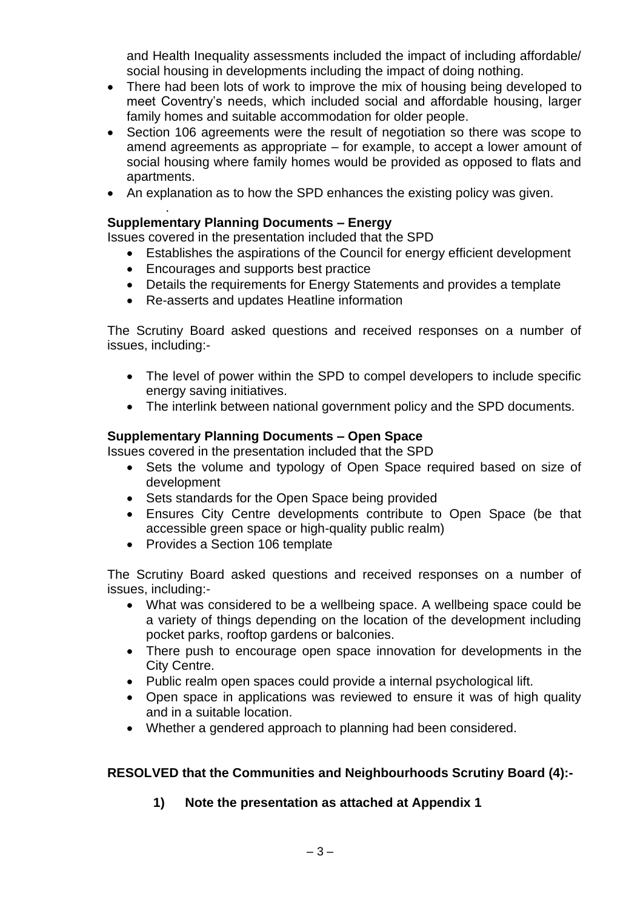and Health Inequality assessments included the impact of including affordable/ social housing in developments including the impact of doing nothing.

- There had been lots of work to improve the mix of housing being developed to meet Coventry's needs, which included social and affordable housing, larger family homes and suitable accommodation for older people.
- Section 106 agreements were the result of negotiation so there was scope to amend agreements as appropriate – for example, to accept a lower amount of social housing where family homes would be provided as opposed to flats and apartments.
- An explanation as to how the SPD enhances the existing policy was given.

#### . **Supplementary Planning Documents – Energy**

Issues covered in the presentation included that the SPD

- Establishes the aspirations of the Council for energy efficient development
- Encourages and supports best practice
- Details the requirements for Energy Statements and provides a template
- Re-asserts and updates Heatline information

The Scrutiny Board asked questions and received responses on a number of issues, including:-

- The level of power within the SPD to compel developers to include specific energy saving initiatives.
- The interlink between national government policy and the SPD documents.

# **Supplementary Planning Documents – Open Space**

Issues covered in the presentation included that the SPD

- Sets the volume and typology of Open Space required based on size of development
- Sets standards for the Open Space being provided
- Ensures City Centre developments contribute to Open Space (be that accessible green space or high-quality public realm)
- Provides a Section 106 template

The Scrutiny Board asked questions and received responses on a number of issues, including:-

- What was considered to be a wellbeing space. A wellbeing space could be a variety of things depending on the location of the development including pocket parks, rooftop gardens or balconies.
- There push to encourage open space innovation for developments in the City Centre.
- Public realm open spaces could provide a internal psychological lift.
- Open space in applications was reviewed to ensure it was of high quality and in a suitable location.
- Whether a gendered approach to planning had been considered.

# **RESOLVED that the Communities and Neighbourhoods Scrutiny Board (4):-**

**1) Note the presentation as attached at Appendix 1**